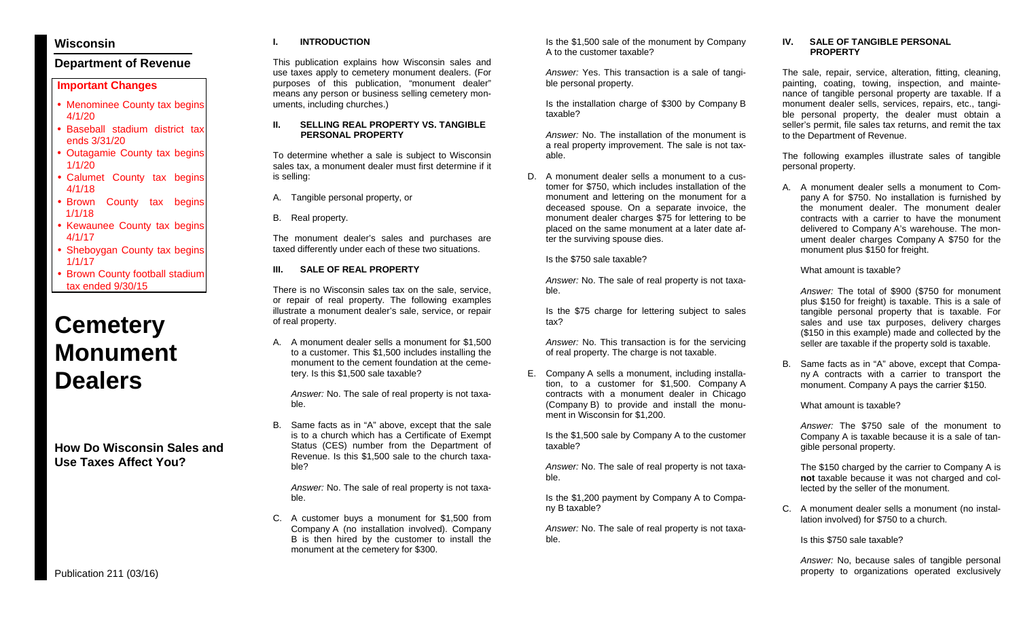# **Wisconsin**

# **Department of Revenue**

# **Important Changes**

- Menominee County tax begins 4/1/20
- Baseball stadium district tax ends 3/31/20
- Outagamie County tax begins 1/1/20
- Calumet County tax begins 4/1/18
- Brown County tax begins 1/1/18
- Kewaunee County tax begins 4/1/17
- **Sheboygan County tax begins** 1/1/17
- Brown County football stadium tax ended 9/30/15

# **Cemetery Monument Dealers**

**How Do Wisconsin Sales and Use Taxes Affect You?**

## **I. INTRODUCTION**

This publication explains how Wisconsin sales and use taxes apply to cemetery monument dealers. (For purposes of this publication, "monument dealer" means any person or business selling cemetery monuments, including churches.)

### **II. SELLING REAL PROPERTY VS. TANGIBLE PERSONAL PROPERTY**

To determine whether a sale is subject to Wisconsin sales tax, a monument dealer must first determine if it is selling:

- A. Tangible personal property, or
- B. Real property.

The monument dealer's sales and purchases are taxed differently under each of these two situations.

## **III. SALE OF REAL PROPERTY**

There is no Wisconsin sales tax on the sale, service, or repair of real property. The following examples illustrate a monument dealer's sale, service, or repair of real property.

A. A monument dealer sells a monument for \$1,500 to a customer. This \$1,500 includes installing the monument to the cement foundation at the cemetery. Is this \$1,500 sale taxable?

*Answer:* No. The sale of real property is not taxable.

B. Same facts as in "A" above, except that the sale is to a church which has a Certificate of Exempt Status (CES) number from the Department of Revenue. Is this \$1,500 sale to the church taxable?

*Answer:* No. The sale of real property is not taxable.

C. A customer buys a monument for \$1,500 from Company A (no installation involved). Company B is then hired by the customer to install the monument at the cemetery for \$300.

Is the \$1,500 sale of the monument by Company A to the customer taxable?

*Answer:* Yes. This transaction is a sale of tangible personal property.

Is the installation charge of \$300 by Company B taxable?

*Answer:* No. The installation of the monument is a real property improvement. The sale is not taxable.

D. A monument dealer sells a monument to a customer for \$750, which includes installation of the monument and lettering on the monument for a deceased spouse. On a separate invoice, the monument dealer charges \$75 for lettering to be placed on the same monument at a later date after the surviving spouse dies.

Is the \$750 sale taxable?

*Answer:* No. The sale of real property is not taxable.

Is the \$75 charge for lettering subject to sales tax?

*Answer:* No. This transaction is for the servicing of real property. The charge is not taxable.

E. Company A sells a monument, including installation, to a customer for \$1,500. Company A contracts with a monument dealer in Chicago (Company B) to provide and install the monument in Wisconsin for \$1,200.

Is the \$1,500 sale by Company A to the customer taxable?

*Answer:* No. The sale of real property is not taxable.

Is the \$1,200 payment by Company A to Company B taxable?

*Answer:* No. The sale of real property is not taxable.

## **IV. SALE OF TANGIBLE PERSONAL PROPERTY**

The sale, repair, service, alteration, fitting, cleaning, painting, coating, towing, inspection, and maintenance of tangible personal property are taxable. If a monument dealer sells, services, repairs, etc., tangible personal property, the dealer must obtain a seller's permit, file sales tax returns, and remit the tax to the Department of Revenue.

The following examples illustrate sales of tangible personal property.

A. A monument dealer sells a monument to Company A for \$750. No installation is furnished by the monument dealer. The monument dealer contracts with a carrier to have the monument delivered to Company A's warehouse. The monument dealer charges Company A \$750 for the monument plus \$150 for freight.

What amount is taxable?

*Answer:* The total of \$900 (\$750 for monument plus \$150 for freight) is taxable. This is a sale of tangible personal property that is taxable. For sales and use tax purposes, delivery charges (\$150 in this example) made and collected by the seller are taxable if the property sold is taxable.

B. Same facts as in "A" above, except that Company A contracts with a carrier to transport the monument. Company A pays the carrier \$150.

What amount is taxable?

*Answer:* The \$750 sale of the monument to Company A is taxable because it is a sale of tangible personal property.

The \$150 charged by the carrier to Company A is **not** taxable because it was not charged and collected by the seller of the monument.

C. A monument dealer sells a monument (no installation involved) for \$750 to a church.

Is this \$750 sale taxable?

*Answer:* No, because sales of tangible personal property to organizations operated exclusively